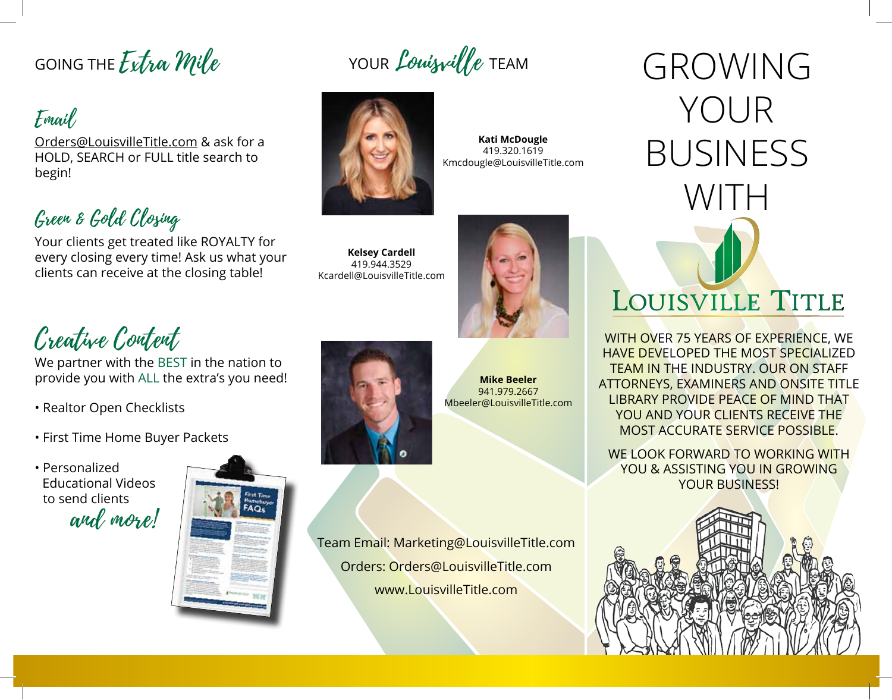## GOING THE Extra Mile

### Email

Orders@LouisvilleTitle.com & ask for a HOLD, SEARCH or FULL title search to begin!

### Green & Gold Closing

Your clients get treated like ROYALTY for every closing every time! Ask us what your clients can receive at the closing table!



YOUR *Louisville* TEAM

**Kati McDougle** 419.320.1619 Kmcdougle@LouisvilleTitle.com

#### **Kelsey Cardell** 419.944.3529 Kcardell@LouisvilleTitle.com



Creative Content

We partner with the BEST in the nation to provide you with ALL the extra's you need!

- Realtor Open Checklists
- First Time Home Buyer Packets









**Mike Beeler** 941.979.2667 Mbeeler@LouisvilleTitle.com

Team Email: Marketing@LouisvilleTitle.com Orders: Orders@LouisvilleTitle.com www.LouisvilleTitle.com

# GROWING YOUR BUSINESS WITH LOUISVILLE TITLE

WITH OVER 75 YEARS OF EXPERIENCE, WE HAVE DEVELOPED THE MOST SPECIALIZED TEAM IN THE INDUSTRY. OUR ON STAFF ATTORNEYS, EXAMINERS AND ONSITE TITLE LIBRARY PROVIDE PEACE OF MIND THAT YOU AND YOUR CLIENTS RECEIVE THE MOST ACCURATE SERVICE POSSIBLE.

WE LOOK FORWARD TO WORKING WITH YOU & ASSISTING YOU IN GROWING YOUR BUSINESS!